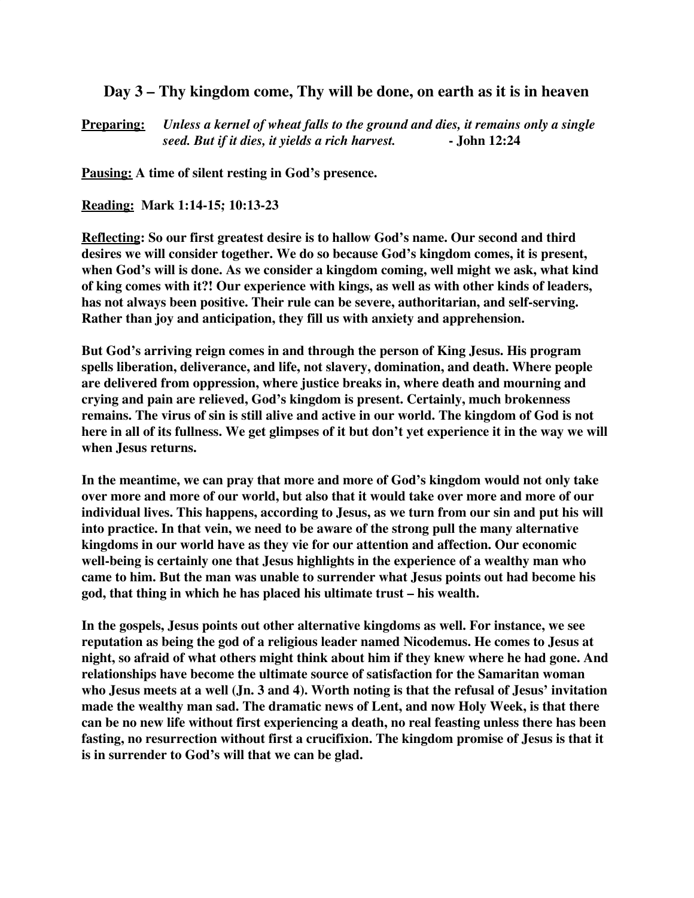## **Day 3 – Thy kingdom come, Thy will be done, on earth as it is in heaven**

**Preparing:** *Unless a kernel of wheat falls to the ground and dies, it remains only a single seed. But if it dies, it yields a rich harvest.* **- John 12:24**

**Pausing: A time of silent resting in God's presence.**

**Reading: Mark 1:14-15; 10:13-23**

**Reflecting: So our first greatest desire is to hallow God's name. Our second and third desires we will consider together. We do so because God's kingdom comes, it is present, when God's will is done. As we consider a kingdom coming, well might we ask, what kind of king comes with it?! Our experience with kings, as well as with other kinds of leaders, has not always been positive. Their rule can be severe, authoritarian, and self-serving. Rather than joy and anticipation, they fill us with anxiety and apprehension.**

**But God's arriving reign comes in and through the person of King Jesus. His program spells liberation, deliverance, and life, not slavery, domination, and death. Where people are delivered from oppression, where justice breaks in, where death and mourning and crying and pain are relieved, God's kingdom is present. Certainly, much brokenness remains. The virus of sin is still alive and active in our world. The kingdom of God is not here in all of its fullness. We get glimpses of it but don't yet experience it in the way we will when Jesus returns.**

**In the meantime, we can pray that more and more of God's kingdom would not only take over more and more of our world, but also that it would take over more and more of our individual lives. This happens, according to Jesus, as we turn from our sin and put his will into practice. In that vein, we need to be aware of the strong pull the many alternative kingdoms in our world have as they vie for our attention and affection. Our economic well-being is certainly one that Jesus highlights in the experience of a wealthy man who came to him. But the man was unable to surrender what Jesus points out had become his god, that thing in which he has placed his ultimate trust – his wealth.**

**In the gospels, Jesus points out other alternative kingdoms as well. For instance, we see reputation as being the god of a religious leader named Nicodemus. He comes to Jesus at night, so afraid of what others might think about him if they knew where he had gone. And relationships have become the ultimate source of satisfaction for the Samaritan woman who Jesus meets at a well (Jn. 3 and 4). Worth noting is that the refusal of Jesus' invitation made the wealthy man sad. The dramatic news of Lent, and now Holy Week, is that there can be no new life without first experiencing a death, no real feasting unless there has been fasting, no resurrection without first a crucifixion. The kingdom promise of Jesus is that it is in surrender to God's will that we can be glad.**